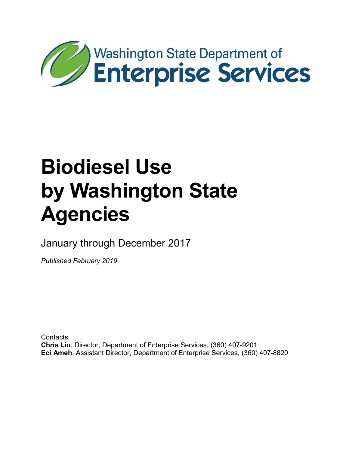

January through December 2017

*Published February 2019*

Contacts: **Chris Liu**, Director, Department of Enterprise Services, (360) 407-9201 **Eci Ameh**, Assistant Director, Department of Enterprise Services, (360) 407-8820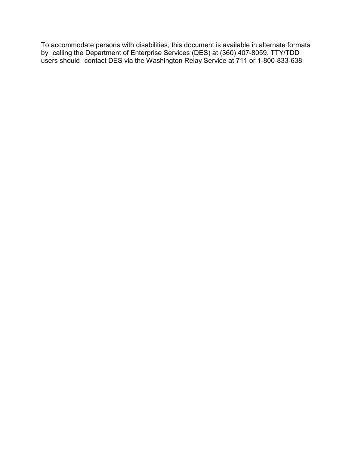To accommodate persons with disabilities, this document is available in alternate formats by calling the Department of Enterprise Services (DES) at (360) 407-8059. TTY/TDD users should contact DES via the Washington Relay Service at 711 or 1-800-833-638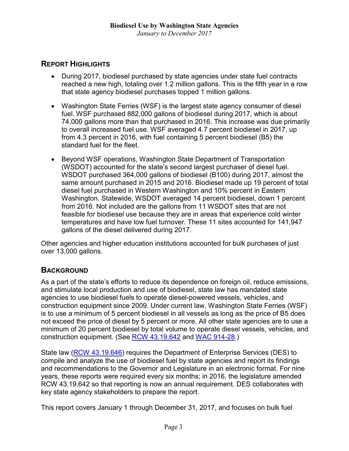## **REPORT HIGHLIGHTS**

- During 2017, biodiesel purchased by state agencies under state fuel contracts reached a new high, totaling over 1.2 million gallons. This is the fifth year in a row that state agency biodiesel purchases topped 1 million gallons.
- Washington State Ferries (WSF) is the largest state agency consumer of diesel fuel. WSF purchased 882,000 gallons of biodiesel during 2017, which is about 74,000 gallons more than that purchased in 2016. This increase was due primarily to overall increased fuel use. WSF averaged 4.7 percent biodiesel in 2017, up from 4.3 percent in 2016, with fuel containing 5 percent biodiesel (B5) the standard fuel for the fleet.
- Beyond WSF operations, Washington State Department of Transportation (WSDOT) accounted for the state's second largest purchaser of diesel fuel. WSDOT purchased 364,000 gallons of biodiesel (B100) during 2017, almost the same amount purchased in 2015 and 2016. Biodiesel made up 19 percent of total diesel fuel purchased in Western Washington and 10% percent in Eastern Washington. Statewide, WSDOT averaged 14 percent biodiesel, down 1 percent from 2016. Not included are the gallons from 11 WSDOT sites that are not feasible for biodiesel use because they are in areas that experience cold winter temperatures and have low fuel turnover. These 11 sites accounted for 141,947 gallons of the diesel delivered during 2017.

Other agencies and higher education institutions accounted for bulk purchases of just over 13,000 gallons.

## **BACKGROUND**

As a part of the state's efforts to reduce its dependence on foreign oil, reduce emissions, and stimulate local production and use of biodiesel, state law has mandated state agencies to use biodiesel fuels to operate diesel-powered vessels, vehicles, and construction equipment since 2009. Under current law, Washington State Ferries (WSF) is to use a minimum of 5 percent biodiesel in all vessels as long as the price of B5 does not exceed the price of diesel by 5 percent or more. All other state agencies are to use a minimum of 20 percent biodiesel by total volume to operate diesel vessels, vehicles, and construction equipment. (See [RCW 43.19.642](http://app.leg.wa.gov/rcw/default.aspx?cite=43.19.642) and [WAC 914-28.](http://app.leg.wa.gov/wac/default.aspx?cite=194-28&full=true))

State law [\(RCW 43.19.646\)](http://app.leg.wa.gov/rcw/default.aspx?cite=43.19.646) requires the Department of Enterprise Services (DES) to compile and analyze the use of biodiesel fuel by state agencies and report its findings and recommendations to the Governor and Legislature in an electronic format. For nine years, these reports were required every six months; in 2016, the legislature amended RCW 43.19.642 so that reporting is now an annual requirement. DES collaborates with key state agency stakeholders to prepare the report.

This report covers January 1 through December 31, 2017, and focuses on bulk fuel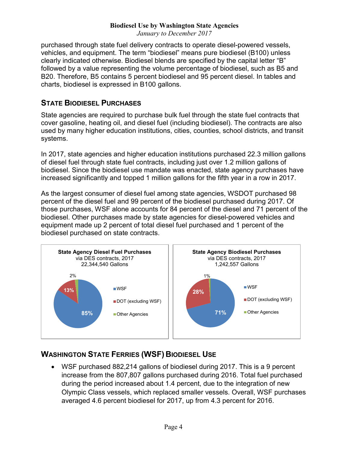*January to December 2017*

purchased through state fuel delivery contracts to operate diesel-powered vessels, vehicles, and equipment. The term "biodiesel" means pure biodiesel (B100) unless clearly indicated otherwise. Biodiesel blends are specified by the capital letter "B" followed by a value representing the volume percentage of biodiesel, such as B5 and B20. Therefore, B5 contains 5 percent biodiesel and 95 percent diesel. In tables and charts, biodiesel is expressed in B100 gallons.

## **STATE BIODIESEL PURCHASES**

State agencies are required to purchase bulk fuel through the state fuel contracts that cover gasoline, heating oil, and diesel fuel (including biodiesel). The contracts are also used by many higher education institutions, cities, counties, school districts, and transit systems.

In 2017, state agencies and higher education institutions purchased 22.3 million gallons of diesel fuel through state fuel contracts, including just over 1.2 million gallons of biodiesel. Since the biodiesel use mandate was enacted, state agency purchases have increased significantly and topped 1 million gallons for the fifth year in a row in 2017.

As the largest consumer of diesel fuel among state agencies, WSDOT purchased 98 percent of the diesel fuel and 99 percent of the biodiesel purchased during 2017. Of those purchases, WSF alone accounts for 84 percent of the diesel and 71 percent of the biodiesel. Other purchases made by state agencies for diesel-powered vehicles and equipment made up 2 percent of total diesel fuel purchased and 1 percent of the biodiesel purchased on state contracts.



# **WASHINGTON STATE FERRIES (WSF) BIODIESEL USE**

• WSF purchased 882,214 gallons of biodiesel during 2017. This is a 9 percent increase from the 807,807 gallons purchased during 2016. Total fuel purchased during the period increased about 1.4 percent, due to the integration of new Olympic Class vessels, which replaced smaller vessels. Overall, WSF purchases averaged 4.6 percent biodiesel for 2017, up from 4.3 percent for 2016.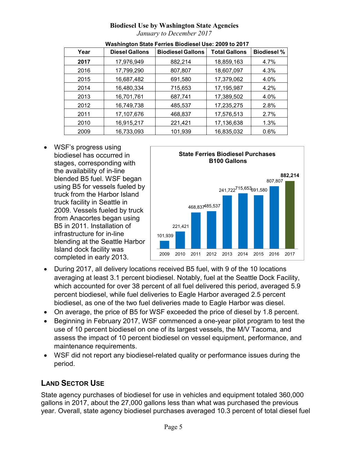*January to December 2017*

| Year | <b>Diesel Gallons</b> | <b>Biodiesel Gallons</b> | <b>Total Gallons</b> | <b>Biodiesel %</b> |
|------|-----------------------|--------------------------|----------------------|--------------------|
| 2017 | 17,976,949            | 882,214                  | 18,859,163           | 4.7%               |
| 2016 | 17,799,290            | 807,807                  | 18,607,097           | 4.3%               |
| 2015 | 16,687,482            | 691,580                  | 17,379,062           | 4.0%               |
| 2014 | 16,480,334            | 715,653                  | 17,195,987           | 4.2%               |
| 2013 | 16,701,761            | 687,741                  | 17,389,502           | 4.0%               |
| 2012 | 16,749,738            | 485,537                  | 17,235,275           | 2.8%               |
| 2011 | 17,107,676            | 468,837                  | 17,576,513           | 2.7%               |
| 2010 | 16,915,217            | 221,421                  | 17,136,638           | 1.3%               |
| 2009 | 16,733,093            | 101,939                  | 16,835,032           | 0.6%               |

#### **Washington State Ferries Biodiesel Use: 2009 to 2017**

• WSF's progress using biodiesel has occurred in stages, corresponding with the availability of in-line blended B5 fuel. WSF began using B5 for vessels fueled by truck from the Harbor Island truck facility in Seattle in 2009. Vessels fueled by truck from Anacortes began using B5 in 2011. Installation of infrastructure for in-line blending at the Seattle Harbor Island dock facility was completed in early 2013.



- During 2017, all delivery locations received B5 fuel, with 9 of the 10 locations averaging at least 3.1 percent biodiesel. Notably, fuel at the Seattle Dock Facility, which accounted for over 38 percent of all fuel delivered this period, averaged 5.9 percent biodiesel, while fuel deliveries to Eagle Harbor averaged 2.5 percent biodiesel, as one of the two fuel deliveries made to Eagle Harbor was diesel.
- On average, the price of B5 for WSF exceeded the price of diesel by 1.8 percent.
- Beginning in February 2017, WSF commenced a one-year pilot program to test the use of 10 percent biodiesel on one of its largest vessels, the M/V Tacoma, and assess the impact of 10 percent biodiesel on vessel equipment, performance, and maintenance requirements.
- WSF did not report any biodiesel-related quality or performance issues during the period.

# **LAND SECTOR USE**

State agency purchases of biodiesel for use in vehicles and equipment totaled 360,000 gallons in 2017, about the 27,000 gallons less than what was purchased the previous year. Overall, state agency biodiesel purchases averaged 10.3 percent of total diesel fuel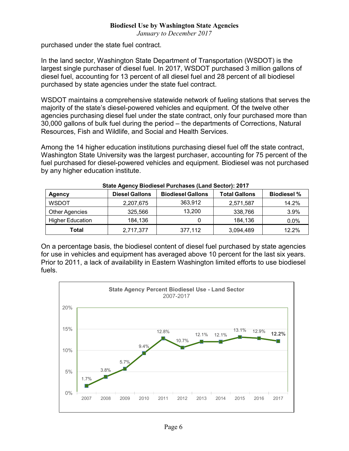*January to December 2017*

purchased under the state fuel contract.

In the land sector, Washington State Department of Transportation (WSDOT) is the largest single purchaser of diesel fuel. In 2017, WSDOT purchased 3 million gallons of diesel fuel, accounting for 13 percent of all diesel fuel and 28 percent of all biodiesel purchased by state agencies under the state fuel contract.

WSDOT maintains a comprehensive statewide network of fueling stations that serves the majority of the state's diesel-powered vehicles and equipment. Of the twelve other agencies purchasing diesel fuel under the state contract, only four purchased more than 30,000 gallons of bulk fuel during the period – the departments of Corrections, Natural Resources, Fish and Wildlife, and Social and Health Services.

Among the 14 higher education institutions purchasing diesel fuel off the state contract, Washington State University was the largest purchaser, accounting for 75 percent of the fuel purchased for diesel-powered vehicles and equipment. Biodiesel was not purchased by any higher education institute.

| <u>stato / igonoj Biodiocon i anonacco (Eana cootor): Evin</u> |                       |                          |                      |                    |  |  |  |
|----------------------------------------------------------------|-----------------------|--------------------------|----------------------|--------------------|--|--|--|
| <b>Agency</b>                                                  | <b>Diesel Gallons</b> | <b>Biodiesel Gallons</b> | <b>Total Gallons</b> | <b>Biodiesel %</b> |  |  |  |
| <b>WSDOT</b>                                                   | 2,207,675             | 363.912                  | 2,571,587            | 14.2%              |  |  |  |
| <b>Other Agencies</b>                                          | 325,566               | 13,200                   | 338,766              | 3.9%               |  |  |  |
| <b>Higher Education</b>                                        | 184,136               |                          | 184,136              | 0.0%               |  |  |  |
| Total                                                          | 2,717,377             | 377,112                  | 3,094,489            | 12.2%              |  |  |  |

| State Agency Biodiesel Purchases (Land Sector): 2017 |  |
|------------------------------------------------------|--|
|------------------------------------------------------|--|

On a percentage basis, the biodiesel content of diesel fuel purchased by state agencies for use in vehicles and equipment has averaged above 10 percent for the last six years. Prior to 2011, a lack of availability in Eastern Washington limited efforts to use biodiesel fuels.

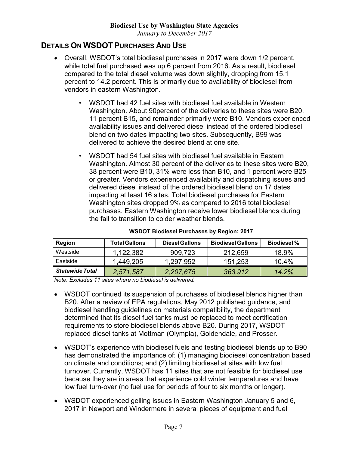*January to December 2017*

## **DETAILS ON WSDOT PURCHASES AND USE**

- Overall, WSDOT's total biodiesel purchases in 2017 were down 1/2 percent, while total fuel purchased was up 6 percent from 2016. As a result, biodiesel compared to the total diesel volume was down slightly, dropping from 15.1 percent to 14.2 percent. This is primarily due to availability of biodiesel from vendors in eastern Washington.
	- WSDOT had 42 fuel sites with biodiesel fuel available in Western Washington. About 90percent of the deliveries to these sites were B20, 11 percent B15, and remainder primarily were B10. Vendors experienced availability issues and delivered diesel instead of the ordered biodiesel blend on two dates impacting two sites. Subsequently, B99 was delivered to achieve the desired blend at one site.
	- WSDOT had 54 fuel sites with biodiesel fuel available in Eastern Washington. Almost 30 percent of the deliveries to these sites were B20, 38 percent were B10, 31% were less than B10, and 1 percent were B25 or greater. Vendors experienced availability and dispatching issues and delivered diesel instead of the ordered biodiesel blend on 17 dates impacting at least 16 sites. Total biodiesel purchases for Eastern Washington sites dropped 9% as compared to 2016 total biodiesel purchases. Eastern Washington receive lower biodiesel blends during the fall to transition to colder weather blends.

| Region                 | <b>Total Gallons</b> | <b>Diesel Gallons</b> | <b>Biodiesel Gallons</b> | <b>Biodiesel</b> % |
|------------------------|----------------------|-----------------------|--------------------------|--------------------|
| Westside               | 1.122.382            | 909,723               | 212,659                  | 18.9%              |
| Eastside               | 1.449.205            | 1,297,952             | 151,253                  | 10.4%              |
| <b>Statewide Total</b> | 2,571,587            | 2,207,675             | 363,912                  | 14.2%              |

*Note: Excludes 11 sites where no biodiesel is delivered.*

- WSDOT continued its suspension of purchases of biodiesel blends higher than B20. After a review of EPA regulations, May 2012 published guidance, and biodiesel handling guidelines on materials compatibility, the department determined that its diesel fuel tanks must be replaced to meet certification requirements to store biodiesel blends above B20. During 2017, WSDOT replaced diesel tanks at Mottman (Olympia), Goldendale, and Prosser.
- WSDOT's experience with biodiesel fuels and testing biodiesel blends up to B90 has demonstrated the importance of: (1) managing biodiesel concentration based on climate and conditions; and (2) limiting biodiesel at sites with low fuel turnover. Currently, WSDOT has 11 sites that are not feasible for biodiesel use because they are in areas that experience cold winter temperatures and have low fuel turn-over (no fuel use for periods of four to six months or longer).
- WSDOT experienced gelling issues in Eastern Washington January 5 and 6, 2017 in Newport and Windermere in several pieces of equipment and fuel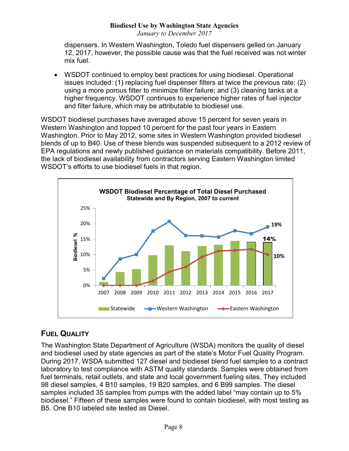#### **Biodiesel Use by Washington State Agencies** *January to December 2017*

dispensers. In Western Washington, Toledo fuel dispensers gelled on January 12, 2017, however, the possible cause was that the fuel received was not winter mix fuel.

• WSDOT continued to employ best practices for using biodiesel. Operational issues included: (1) replacing fuel dispenser filters at twice the previous rate; (2) using a more porous filter to minimize filter failure; and (3) cleaning tanks at a higher frequency. WSDOT continues to experience higher rates of fuel injector and filter failure, which may be attributable to biodiesel use.

WSDOT biodiesel purchases have averaged above 15 percent for seven years in Western Washington and topped 10 percent for the past four years in Eastern Washington. Prior to May 2012, some sites in Western Washington provided biodiesel blends of up to B40. Use of these blends was suspended subsequent to a 2012 review of EPA regulations and newly published guidance on materials compatibility. Before 2011, the lack of biodiesel availability from contractors serving Eastern Washington limited WSDOT's efforts to use biodiesel fuels in that region.



# **FUEL QUALITY**

The Washington State Department of Agriculture (WSDA) monitors the quality of diesel and biodiesel used by state agencies as part of the state's Motor Fuel Quality Program. During 2017, WSDA submitted 127 diesel and biodiesel blend fuel samples to a contract laboratory to test compliance with ASTM quality standards. Samples were obtained from fuel terminals, retail outlets, and state and local government fueling sites. They included 98 diesel samples, 4 B10 samples, 19 B20 samples, and 6 B99 samples. The diesel samples included 35 samples from pumps with the added label "may contain up to 5% biodiesel." Fifteen of these samples were found to contain biodiesel, with most testing as B5. One B10 labeled site tested as Diesel.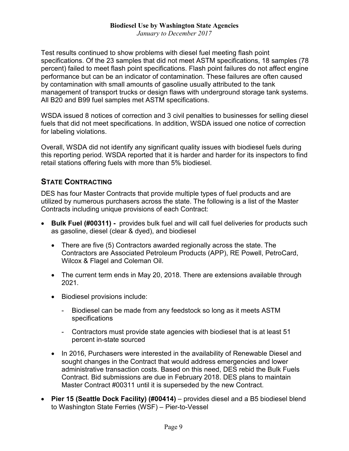*January to December 2017*

Test results continued to show problems with diesel fuel meeting flash point specifications. Of the 23 samples that did not meet ASTM specifications, 18 samples (78 percent) failed to meet flash point specifications. Flash point failures do not affect engine performance but can be an indicator of contamination. These failures are often caused by contamination with small amounts of gasoline usually attributed to the tank management of transport trucks or design flaws with underground storage tank systems. All B20 and B99 fuel samples met ASTM specifications.

WSDA issued 8 notices of correction and 3 civil penalties to businesses for selling diesel fuels that did not meet specifications. In addition, WSDA issued one notice of correction for labeling violations.

Overall, WSDA did not identify any significant quality issues with biodiesel fuels during this reporting period. WSDA reported that it is harder and harder for its inspectors to find retail stations offering fuels with more than 5% biodiesel.

## **STATE CONTRACTING**

DES has four Master Contracts that provide multiple types of fuel products and are utilized by numerous purchasers across the state. The following is a list of the Master Contracts including unique provisions of each Contract:

- **Bulk Fuel (#00311) -** provides bulk fuel and will call fuel deliveries for products such as gasoline, diesel (clear & dyed), and biodiesel
	- There are five (5) Contractors awarded regionally across the state. The Contractors are Associated Petroleum Products (APP), RE Powell, PetroCard, Wilcox & Flagel and Coleman Oil.
	- The current term ends in May 20, 2018. There are extensions available through 2021.
	- Biodiesel provisions include:
		- Biodiesel can be made from any feedstock so long as it meets ASTM specifications
		- Contractors must provide state agencies with biodiesel that is at least 51 percent in-state sourced
	- In 2016, Purchasers were interested in the availability of Renewable Diesel and sought changes in the Contract that would address emergencies and lower administrative transaction costs. Based on this need, DES rebid the Bulk Fuels Contract. Bid submissions are due in February 2018. DES plans to maintain Master Contract #00311 until it is superseded by the new Contract.
- **Pier 15 (Seattle Dock Facility) (#00414)** provides diesel and a B5 biodiesel blend to Washington State Ferries (WSF) – Pier-to-Vessel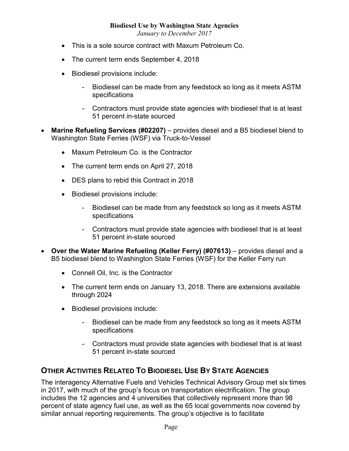*January to December 2017*

- This is a sole source contract with Maxum Petroleum Co.
- The current term ends September 4, 2018
- Biodiesel provisions include:
	- Biodiesel can be made from any feedstock so long as it meets ASTM specifications
	- Contractors must provide state agencies with biodiesel that is at least 51 percent in-state sourced
- **Marine Refueling Services (#02207)** provides diesel and a B5 biodiesel blend to Washington State Ferries (WSF) via Truck-to-Vessel
	- Maxum Petroleum Co. is the Contractor
	- The current term ends on April 27, 2018
	- DES plans to rebid this Contract in 2018
	- Biodiesel provisions include:
		- Biodiesel can be made from any feedstock so long as it meets ASTM specifications
		- Contractors must provide state agencies with biodiesel that is at least 51 percent in-state sourced
- **Over the Water Marine Refueling (Keller Ferry) (#07613)** provides diesel and a B5 biodiesel blend to Washington State Ferries (WSF) for the Keller Ferry run
	- Connell Oil, Inc. is the Contractor
	- The current term ends on January 13, 2018. There are extensions available through 2024
	- Biodiesel provisions include:
		- Biodiesel can be made from any feedstock so long as it meets ASTM specifications
		- Contractors must provide state agencies with biodiesel that is at least 51 percent in-state sourced

## **OTHER ACTIVITIES RELATED TO BIODIESEL USE BY STATE AGENCIES**

The interagency Alternative Fuels and Vehicles Technical Advisory Group met six times in 2017, with much of the group's focus on transportation electrification. The group includes the 12 agencies and 4 universities that collectively represent more than 98 percent of state agency fuel use, as well as the 65 local governments now covered by similar annual reporting requirements. The group's objective is to facilitate